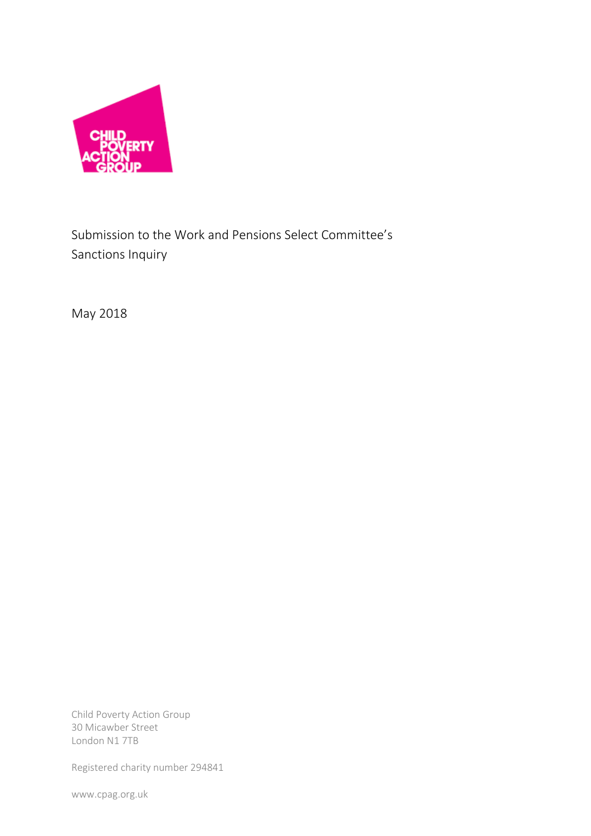

Submission to the Work and Pensions Select Committee's Sanctions Inquiry

May 2018

Child Poverty Action Group 30 Micawber Street London N1 7TB

Registered charity number 294841

www.cpag.org.uk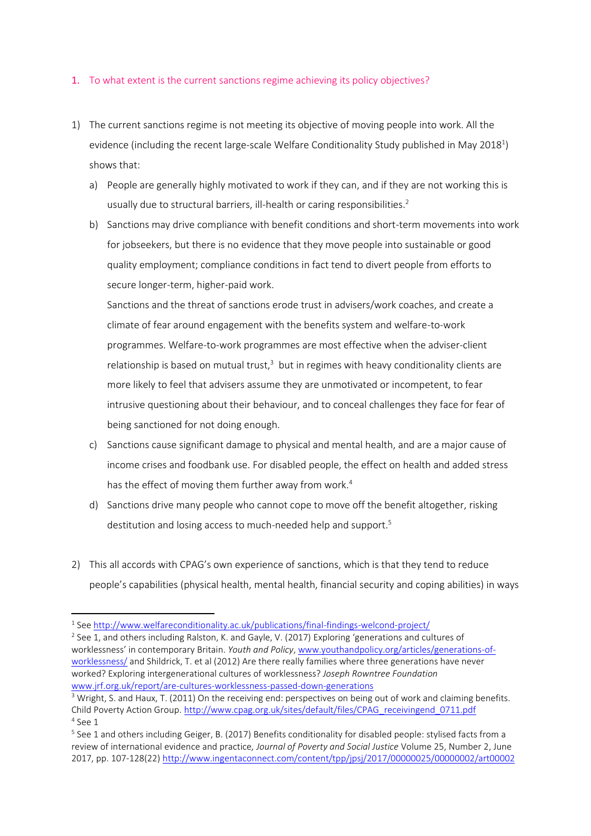## 1. To what extent is the current sanctions regime achieving its policy objectives?

- 1) The current sanctions regime is not meeting its objective of moving people into work. All the evidence (including the recent large-scale Welfare Conditionality Study published in May 2018<sup>1</sup>) shows that:
	- a) People are generally highly motivated to work if they can, and if they are not working this is usually due to structural barriers, ill-health or caring responsibilities.<sup>2</sup>
	- b) Sanctions may drive compliance with benefit conditions and short-term movements into work for jobseekers, but there is no evidence that they move people into sustainable or good quality employment; compliance conditions in fact tend to divert people from efforts to secure longer-term, higher-paid work.

Sanctions and the threat of sanctions erode trust in advisers/work coaches, and create a climate of fear around engagement with the benefits system and welfare-to-work programmes. Welfare-to-work programmes are most effective when the adviser-client relationship is based on mutual trust, $3$  but in regimes with heavy conditionality clients are more likely to feel that advisers assume they are unmotivated or incompetent, to fear intrusive questioning about their behaviour, and to conceal challenges they face for fear of being sanctioned for not doing enough.

- c) Sanctions cause significant damage to physical and mental health, and are a major cause of income crises and foodbank use. For disabled people, the effect on health and added stress has the effect of moving them further away from work.<sup>4</sup>
- d) Sanctions drive many people who cannot cope to move off the benefit altogether, risking destitution and losing access to much-needed help and support.<sup>5</sup>
- 2) This all accords with CPAG's own experience of sanctions, which is that they tend to reduce people's capabilities (physical health, mental health, financial security and coping abilities) in ways

 $\overline{a}$ 

<sup>&</sup>lt;sup>1</sup> See<http://www.welfareconditionality.ac.uk/publications/final-findings-welcond-project/>

<sup>&</sup>lt;sup>2</sup> See 1, and others including Ralston, K. and Gayle, V. (2017) Exploring 'generations and cultures of worklessness' in contemporary Britain. *Youth and Policy*[, www.youthandpolicy.org/articles/generations-of](http://www.youthandpolicy.org/articles/generations-of-worklessness/)[worklessness/](http://www.youthandpolicy.org/articles/generations-of-worklessness/) and Shildrick, T. et al (2012) Are there really families where three generations have never worked? Exploring intergenerational cultures of worklessness? *Joseph Rowntree Foundation* [www.jrf.org.uk/report/are-cultures-worklessness-passed-down-generations](http://www.jrf.org.uk/report/are-cultures-worklessness-passed-down-generations)

<sup>&</sup>lt;sup>3</sup> Wright, S. and Haux, T. (2011) On the receiving end: perspectives on being out of work and claiming benefits. Child Poverty Action Group[. http://www.cpag.org.uk/sites/default/files/CPAG\\_receivingend\\_0711.pdf](http://www.cpag.org.uk/sites/default/files/CPAG_receivingend_0711.pdf) 4 See 1

<sup>&</sup>lt;sup>5</sup> See 1 and others including Geiger, B. (2017) Benefits conditionality for disabled people: stylised facts from a review of international evidence and practice*, Journal of Poverty and Social Justice* Volume 25, Number 2, June 2017, pp. 107-128(22) <http://www.ingentaconnect.com/content/tpp/jpsj/2017/00000025/00000002/art00002>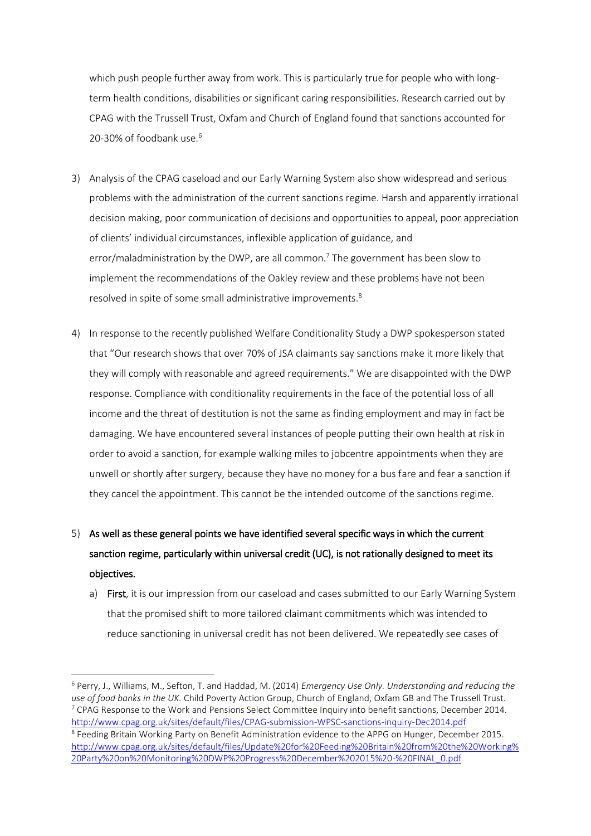which push people further away from work. This is particularly true for people who with longterm health conditions, disabilities or significant caring responsibilities. Research carried out by CPAG with the Trussell Trust, Oxfam and Church of England found that sanctions accounted for 20-30% of foodbank use.<sup>6</sup>

- 3) Analysis of the CPAG caseload and our Early Warning System also show widespread and serious problems with the administration of the current sanctions regime. Harsh and apparently irrational decision making, poor communication of decisions and opportunities to appeal, poor appreciation of clients' individual circumstances, inflexible application of guidance, and error/maladministration by the DWP, are all common.<sup>7</sup> The government has been slow to implement the recommendations of the Oakley review and these problems have not been resolved in spite of some small administrative improvements.<sup>8</sup>
- 4) In response to the recently published Welfare Conditionality Study a DWP spokesperson stated that "Our research shows that over 70% of JSA claimants say sanctions make it more likely that they will comply with reasonable and agreed requirements." We are disappointed with the DWP response. Compliance with conditionality requirements in the face of the potential loss of all income and the threat of destitution is not the same as finding employment and may in fact be damaging. We have encountered several instances of people putting their own health at risk in order to avoid a sanction, for example walking miles to jobcentre appointments when they are unwell or shortly after surgery, because they have no money for a bus fare and fear a sanction if they cancel the appointment. This cannot be the intended outcome of the sanctions regime.
- 5) As well as these general points we have identified several specific ways in which the current sanction regime, particularly within universal credit (UC), is not rationally designed to meet its objectives.
	- a) First, it is our impression from our caseload and cases submitted to our Early Warning System that the promised shift to more tailored claimant commitments which was intended to reduce sanctioning in universal credit has not been delivered. We repeatedly see cases of

 $\overline{a}$ 

<sup>6</sup> Perry, J., Williams, M., Sefton, T. and Haddad, M. (2014) *Emergency Use Only. Understanding and reducing the use of food banks in the UK.* Child Poverty Action Group, Church of England, Oxfam GB and The Trussell Trust.  $7$  CPAG Response to the Work and Pensions Select Committee Inquiry into benefit sanctions, December 2014. <http://www.cpag.org.uk/sites/default/files/CPAG-submission-WPSC-sanctions-inquiry-Dec2014.pdf> <sup>8</sup> Feeding Britain Working Party on Benefit Administration evidence to the APPG on Hunger, December 2015. [http://www.cpag.org.uk/sites/default/files/Update%20for%20Feeding%20Britain%20from%20the%20Working%](http://www.cpag.org.uk/sites/default/files/Update%20for%20Feeding%20Britain%20from%20the%20Working%20Party%20on%20Monitoring%20DWP%20Progress%20December%202015%20-%20FINAL_0.pdf) [20Party%20on%20Monitoring%20DWP%20Progress%20December%202015%20-%20FINAL\\_0.pdf](http://www.cpag.org.uk/sites/default/files/Update%20for%20Feeding%20Britain%20from%20the%20Working%20Party%20on%20Monitoring%20DWP%20Progress%20December%202015%20-%20FINAL_0.pdf)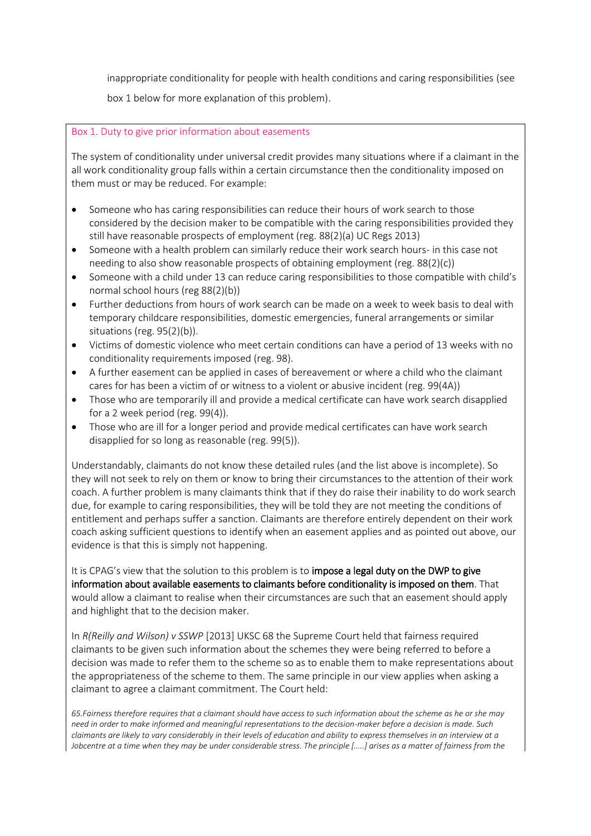inappropriate conditionality for people with health conditions and caring responsibilities (see

box 1 below for more explanation of this problem).

## Box 1. Duty to give prior information about easements

The system of conditionality under universal credit provides many situations where if a claimant in the all work conditionality group falls within a certain circumstance then the conditionality imposed on them must or may be reduced. For example:

- Someone who has caring responsibilities can reduce their hours of work search to those considered by the decision maker to be compatible with the caring responsibilities provided they still have reasonable prospects of employment (reg. 88(2)(a) UC Regs 2013)
- Someone with a health problem can similarly reduce their work search hours- in this case not needing to also show reasonable prospects of obtaining employment (reg. 88(2)(c))
- Someone with a child under 13 can reduce caring responsibilities to those compatible with child's normal school hours (reg 88(2)(b))
- Further deductions from hours of work search can be made on a week to week basis to deal with temporary childcare responsibilities, domestic emergencies, funeral arrangements or similar situations (reg. 95(2)(b)).
- Victims of domestic violence who meet certain conditions can have a period of 13 weeks with no conditionality requirements imposed (reg. 98).
- A further easement can be applied in cases of bereavement or where a child who the claimant cares for has been a victim of or witness to a violent or abusive incident (reg. 99(4A))
- Those who are temporarily ill and provide a medical certificate can have work search disapplied for a 2 week period (reg. 99(4)).
- Those who are ill for a longer period and provide medical certificates can have work search disapplied for so long as reasonable (reg. 99(5)).

Understandably, claimants do not know these detailed rules (and the list above is incomplete). So they will not seek to rely on them or know to bring their circumstances to the attention of their work coach. A further problem is many claimants think that if they do raise their inability to do work search due, for example to caring responsibilities, they will be told they are not meeting the conditions of entitlement and perhaps suffer a sanction. Claimants are therefore entirely dependent on their work coach asking sufficient questions to identify when an easement applies and as pointed out above, our evidence is that this is simply not happening.

It is CPAG's view that the solution to this problem is to impose a legal duty on the DWP to give information about available easements to claimants before conditionality is imposed on them. That would allow a claimant to realise when their circumstances are such that an easement should apply and highlight that to the decision maker.

In *R(Reilly and Wilson) v SSWP* [2013] UKSC 68 the Supreme Court held that fairness required claimants to be given such information about the schemes they were being referred to before a decision was made to refer them to the scheme so as to enable them to make representations about the appropriateness of the scheme to them. The same principle in our view applies when asking a claimant to agree a claimant commitment. The Court held:

*65.Fairness therefore requires that a claimant should have access to such information about the scheme as he or she may need in order to make informed and meaningful representations to the decision-maker before a decision is made. Such claimants are likely to vary considerably in their levels of education and ability to express themselves in an interview at a Jobcentre at a time when they may be under considerable stress. The principle [.....] arises as a matter of fairness from the*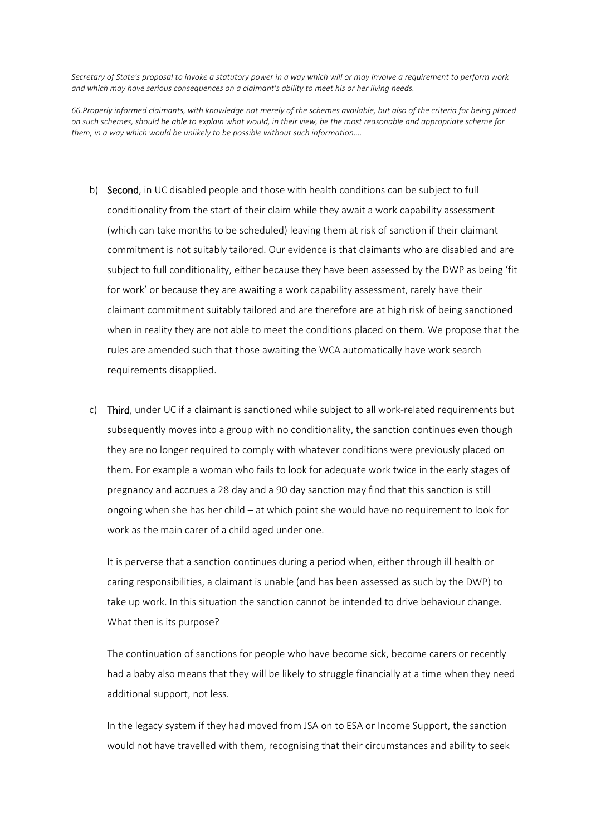*Secretary of State's proposal to invoke a statutory power in a way which will or may involve a requirement to perform work and which may have serious consequences on a claimant's ability to meet his or her living needs.* 

*66.Properly informed claimants, with knowledge not merely of the schemes available, but also of the criteria for being placed on such schemes, should be able to explain what would, in their view, be the most reasonable and appropriate scheme for them, in a way which would be unlikely to be possible without such information….*

- b) Second, in UC disabled people and those with health conditions can be subject to full conditionality from the start of their claim while they await a work capability assessment (which can take months to be scheduled) leaving them at risk of sanction if their claimant commitment is not suitably tailored. Our evidence is that claimants who are disabled and are subject to full conditionality, either because they have been assessed by the DWP as being 'fit for work' or because they are awaiting a work capability assessment, rarely have their claimant commitment suitably tailored and are therefore are at high risk of being sanctioned when in reality they are not able to meet the conditions placed on them. We propose that the rules are amended such that those awaiting the WCA automatically have work search requirements disapplied.
- c) Third, under UC if a claimant is sanctioned while subject to all work-related requirements but subsequently moves into a group with no conditionality, the sanction continues even though they are no longer required to comply with whatever conditions were previously placed on them. For example a woman who fails to look for adequate work twice in the early stages of pregnancy and accrues a 28 day and a 90 day sanction may find that this sanction is still ongoing when she has her child – at which point she would have no requirement to look for work as the main carer of a child aged under one.

It is perverse that a sanction continues during a period when, either through ill health or caring responsibilities, a claimant is unable (and has been assessed as such by the DWP) to take up work. In this situation the sanction cannot be intended to drive behaviour change. What then is its purpose?

The continuation of sanctions for people who have become sick, become carers or recently had a baby also means that they will be likely to struggle financially at a time when they need additional support, not less.

In the legacy system if they had moved from JSA on to ESA or Income Support, the sanction would not have travelled with them, recognising that their circumstances and ability to seek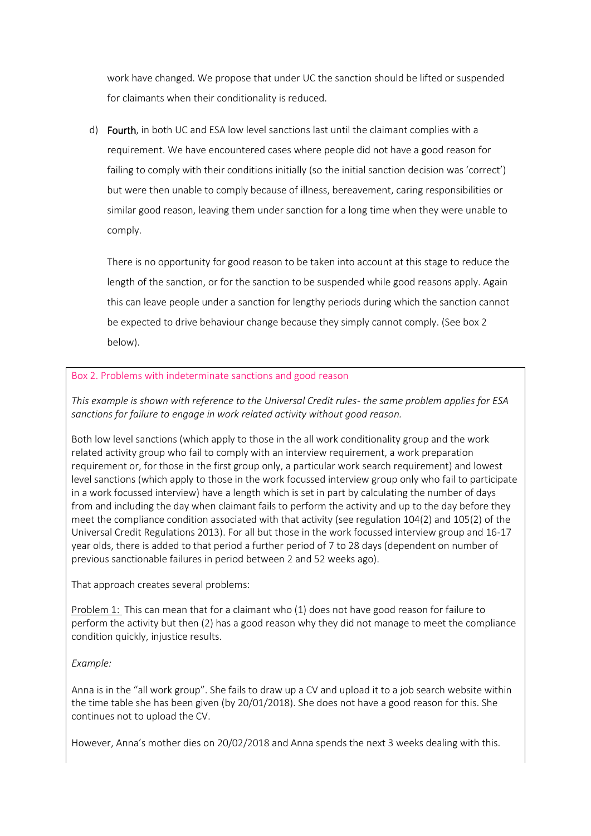work have changed. We propose that under UC the sanction should be lifted or suspended for claimants when their conditionality is reduced.

d) Fourth, in both UC and ESA low level sanctions last until the claimant complies with a requirement. We have encountered cases where people did not have a good reason for failing to comply with their conditions initially (so the initial sanction decision was 'correct') but were then unable to comply because of illness, bereavement, caring responsibilities or similar good reason, leaving them under sanction for a long time when they were unable to comply.

There is no opportunity for good reason to be taken into account at this stage to reduce the length of the sanction, or for the sanction to be suspended while good reasons apply. Again this can leave people under a sanction for lengthy periods during which the sanction cannot be expected to drive behaviour change because they simply cannot comply. (See box 2 below).

## Box 2. Problems with indeterminate sanctions and good reason

*This example is shown with reference to the Universal Credit rules- the same problem applies for ESA sanctions for failure to engage in work related activity without good reason.*

Both low level sanctions (which apply to those in the all work conditionality group and the work related activity group who fail to comply with an interview requirement, a work preparation requirement or, for those in the first group only, a particular work search requirement) and lowest level sanctions (which apply to those in the work focussed interview group only who fail to participate in a work focussed interview) have a length which is set in part by calculating the number of days from and including the day when claimant fails to perform the activity and up to the day before they meet the compliance condition associated with that activity (see regulation 104(2) and 105(2) of the Universal Credit Regulations 2013). For all but those in the work focussed interview group and 16-17 year olds, there is added to that period a further period of 7 to 28 days (dependent on number of previous sanctionable failures in period between 2 and 52 weeks ago).

That approach creates several problems:

Problem 1: This can mean that for a claimant who (1) does not have good reason for failure to perform the activity but then (2) has a good reason why they did not manage to meet the compliance condition quickly, injustice results.

# *Example:*

Anna is in the "all work group". She fails to draw up a CV and upload it to a job search website within the time table she has been given (by 20/01/2018). She does not have a good reason for this. She continues not to upload the CV.

However, Anna's mother dies on 20/02/2018 and Anna spends the next 3 weeks dealing with this.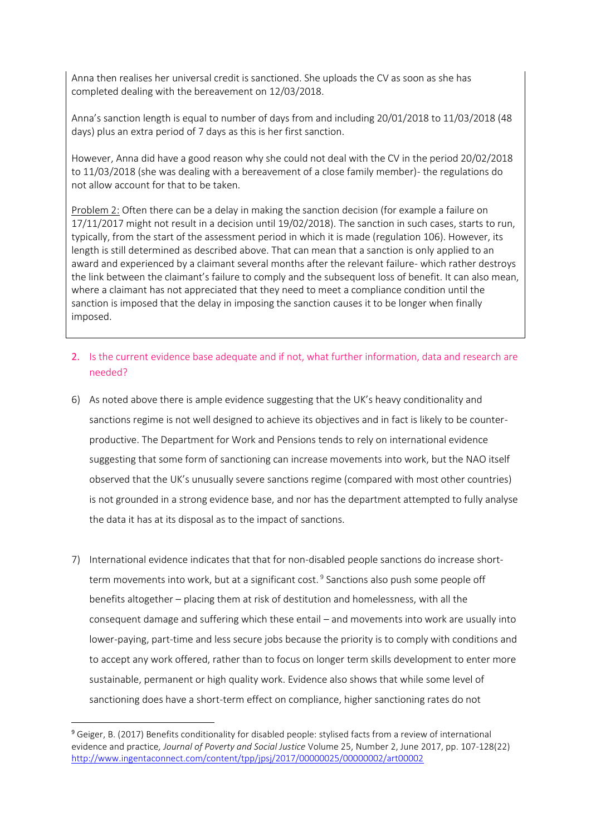Anna then realises her universal credit is sanctioned. She uploads the CV as soon as she has completed dealing with the bereavement on 12/03/2018.

Anna's sanction length is equal to number of days from and including 20/01/2018 to 11/03/2018 (48 days) plus an extra period of 7 days as this is her first sanction.

However, Anna did have a good reason why she could not deal with the CV in the period 20/02/2018 to 11/03/2018 (she was dealing with a bereavement of a close family member)- the regulations do not allow account for that to be taken.

Problem 2: Often there can be a delay in making the sanction decision (for example a failure on 17/11/2017 might not result in a decision until 19/02/2018). The sanction in such cases, starts to run, typically, from the start of the assessment period in which it is made (regulation 106). However, its length is still determined as described above. That can mean that a sanction is only applied to an award and experienced by a claimant several months after the relevant failure- which rather destroys the link between the claimant's failure to comply and the subsequent loss of benefit. It can also mean, where a claimant has not appreciated that they need to meet a compliance condition until the sanction is imposed that the delay in imposing the sanction causes it to be longer when finally imposed.

- 2. Is the current evidence base adequate and if not, what further information, data and research are needed?
- 6) As noted above there is ample evidence suggesting that the UK's heavy conditionality and sanctions regime is not well designed to achieve its objectives and in fact is likely to be counterproductive. The Department for Work and Pensions tends to rely on international evidence suggesting that some form of sanctioning can increase movements into work, but the NAO itself observed that the UK's unusually severe sanctions regime (compared with most other countries) is not grounded in a strong evidence base, and nor has the department attempted to fully analyse the data it has at its disposal as to the impact of sanctions.
- 7) International evidence indicates that that for non-disabled people sanctions do increase shortterm movements into work, but at a significant cost.<sup>9</sup> Sanctions also push some people off benefits altogether – placing them at risk of destitution and homelessness, with all the consequent damage and suffering which these entail – and movements into work are usually into lower-paying, part-time and less secure jobs because the priority is to comply with conditions and to accept any work offered, rather than to focus on longer term skills development to enter more sustainable, permanent or high quality work. Evidence also shows that while some level of sanctioning does have a short-term effect on compliance, higher sanctioning rates do not

<sup>9</sup> Geiger, B. (2017) Benefits conditionality for disabled people: stylised facts from a review of international evidence and practice*, Journal of Poverty and Social Justice* Volume 25, Number 2, June 2017, pp. 107-128(22) <http://www.ingentaconnect.com/content/tpp/jpsj/2017/00000025/00000002/art00002>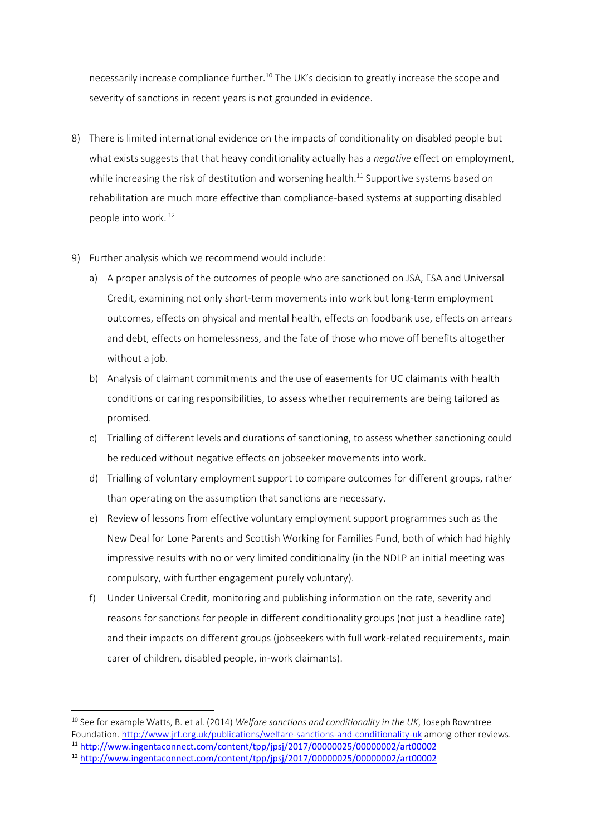necessarily increase compliance further.<sup>10</sup> The UK's decision to greatly increase the scope and severity of sanctions in recent years is not grounded in evidence.

- 8) There is limited international evidence on the impacts of conditionality on disabled people but what exists suggests that that heavy conditionality actually has a *negative* effect on employment, while increasing the risk of destitution and worsening health.<sup>11</sup> Supportive systems based on rehabilitation are much more effective than compliance-based systems at supporting disabled people into work. <sup>12</sup>
- 9) Further analysis which we recommend would include:
	- a) A proper analysis of the outcomes of people who are sanctioned on JSA, ESA and Universal Credit, examining not only short-term movements into work but long-term employment outcomes, effects on physical and mental health, effects on foodbank use, effects on arrears and debt, effects on homelessness, and the fate of those who move off benefits altogether without a job.
	- b) Analysis of claimant commitments and the use of easements for UC claimants with health conditions or caring responsibilities, to assess whether requirements are being tailored as promised.
	- c) Trialling of different levels and durations of sanctioning, to assess whether sanctioning could be reduced without negative effects on jobseeker movements into work.
	- d) Trialling of voluntary employment support to compare outcomes for different groups, rather than operating on the assumption that sanctions are necessary.
	- e) Review of lessons from effective voluntary employment support programmes such as the New Deal for Lone Parents and Scottish Working for Families Fund, both of which had highly impressive results with no or very limited conditionality (in the NDLP an initial meeting was compulsory, with further engagement purely voluntary).
	- f) Under Universal Credit, monitoring and publishing information on the rate, severity and reasons for sanctions for people in different conditionality groups (not just a headline rate) and their impacts on different groups (jobseekers with full work-related requirements, main carer of children, disabled people, in-work claimants).

<sup>10</sup> See for example Watts, B. et al. (2014) *Welfare sanctions and conditionality in the UK*, Joseph Rowntree Foundation[. http://www.jrf.org.uk/publications/welfare-sanctions-and-conditionality-uk](http://www.jrf.org.uk/publications/welfare-sanctions-and-conditionality-uk) among other reviews.

<sup>11</sup> <http://www.ingentaconnect.com/content/tpp/jpsj/2017/00000025/00000002/art00002>

<sup>12</sup> <http://www.ingentaconnect.com/content/tpp/jpsj/2017/00000025/00000002/art00002>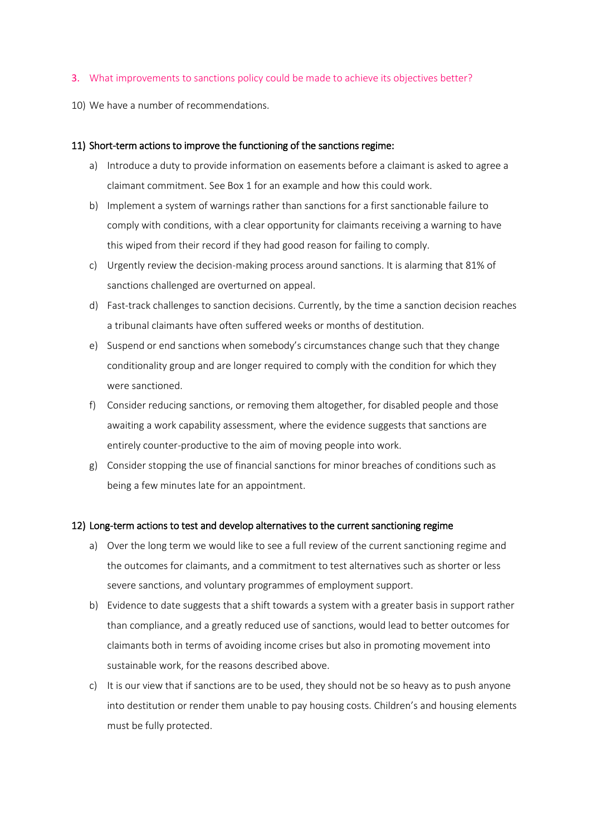#### 3. What improvements to sanctions policy could be made to achieve its objectives better?

10) We have a number of recommendations.

#### 11) Short-term actions to improve the functioning of the sanctions regime:

- a) Introduce a duty to provide information on easements before a claimant is asked to agree a claimant commitment. See Box 1 for an example and how this could work.
- b) Implement a system of warnings rather than sanctions for a first sanctionable failure to comply with conditions, with a clear opportunity for claimants receiving a warning to have this wiped from their record if they had good reason for failing to comply.
- c) Urgently review the decision-making process around sanctions. It is alarming that 81% of sanctions challenged are overturned on appeal.
- d) Fast-track challenges to sanction decisions. Currently, by the time a sanction decision reaches a tribunal claimants have often suffered weeks or months of destitution.
- e) Suspend or end sanctions when somebody's circumstances change such that they change conditionality group and are longer required to comply with the condition for which they were sanctioned.
- f) Consider reducing sanctions, or removing them altogether, for disabled people and those awaiting a work capability assessment, where the evidence suggests that sanctions are entirely counter-productive to the aim of moving people into work.
- g) Consider stopping the use of financial sanctions for minor breaches of conditions such as being a few minutes late for an appointment.

#### 12) Long-term actions to test and develop alternatives to the current sanctioning regime

- a) Over the long term we would like to see a full review of the current sanctioning regime and the outcomes for claimants, and a commitment to test alternatives such as shorter or less severe sanctions, and voluntary programmes of employment support.
- b) Evidence to date suggests that a shift towards a system with a greater basis in support rather than compliance, and a greatly reduced use of sanctions, would lead to better outcomes for claimants both in terms of avoiding income crises but also in promoting movement into sustainable work, for the reasons described above.
- c) It is our view that if sanctions are to be used, they should not be so heavy as to push anyone into destitution or render them unable to pay housing costs. Children's and housing elements must be fully protected.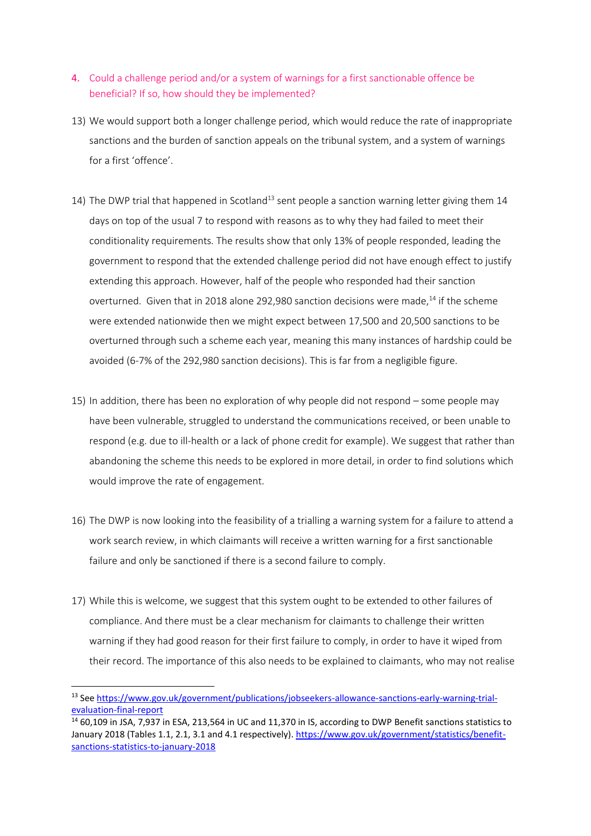- 4. Could a challenge period and/or a system of warnings for a first sanctionable offence be beneficial? If so, how should they be implemented?
- 13) We would support both a longer challenge period, which would reduce the rate of inappropriate sanctions and the burden of sanction appeals on the tribunal system, and a system of warnings for a first 'offence'.
- 14) The DWP trial that happened in Scotland<sup>13</sup> sent people a sanction warning letter giving them 14 days on top of the usual 7 to respond with reasons as to why they had failed to meet their conditionality requirements. The results show that only 13% of people responded, leading the government to respond that the extended challenge period did not have enough effect to justify extending this approach. However, half of the people who responded had their sanction overturned. Given that in 2018 alone 292,980 sanction decisions were made,<sup>14</sup> if the scheme were extended nationwide then we might expect between 17,500 and 20,500 sanctions to be overturned through such a scheme each year, meaning this many instances of hardship could be avoided (6-7% of the 292,980 sanction decisions). This is far from a negligible figure.
- 15) In addition, there has been no exploration of why people did not respond some people may have been vulnerable, struggled to understand the communications received, or been unable to respond (e.g. due to ill-health or a lack of phone credit for example). We suggest that rather than abandoning the scheme this needs to be explored in more detail, in order to find solutions which would improve the rate of engagement.
- 16) The DWP is now looking into the feasibility of a trialling a warning system for a failure to attend a work search review, in which claimants will receive a written warning for a first sanctionable failure and only be sanctioned if there is a second failure to comply.
- 17) While this is welcome, we suggest that this system ought to be extended to other failures of compliance. And there must be a clear mechanism for claimants to challenge their written warning if they had good reason for their first failure to comply, in order to have it wiped from their record. The importance of this also needs to be explained to claimants, who may not realise

<sup>13</sup> Se[e https://www.gov.uk/government/publications/jobseekers-allowance-sanctions-early-warning-trial](https://www.gov.uk/government/publications/jobseekers-allowance-sanctions-early-warning-trial-evaluation-final-report)[evaluation-final-report](https://www.gov.uk/government/publications/jobseekers-allowance-sanctions-early-warning-trial-evaluation-final-report)

<sup>14</sup> 60,109 in JSA, 7,937 in ESA, 213,564 in UC and 11,370 in IS, according to DWP Benefit sanctions statistics to January 2018 (Tables 1.1, 2.1, 3.1 and 4.1 respectively). [https://www.gov.uk/government/statistics/benefit](https://www.gov.uk/government/statistics/benefit-sanctions-statistics-to-january-2018)[sanctions-statistics-to-january-2018](https://www.gov.uk/government/statistics/benefit-sanctions-statistics-to-january-2018)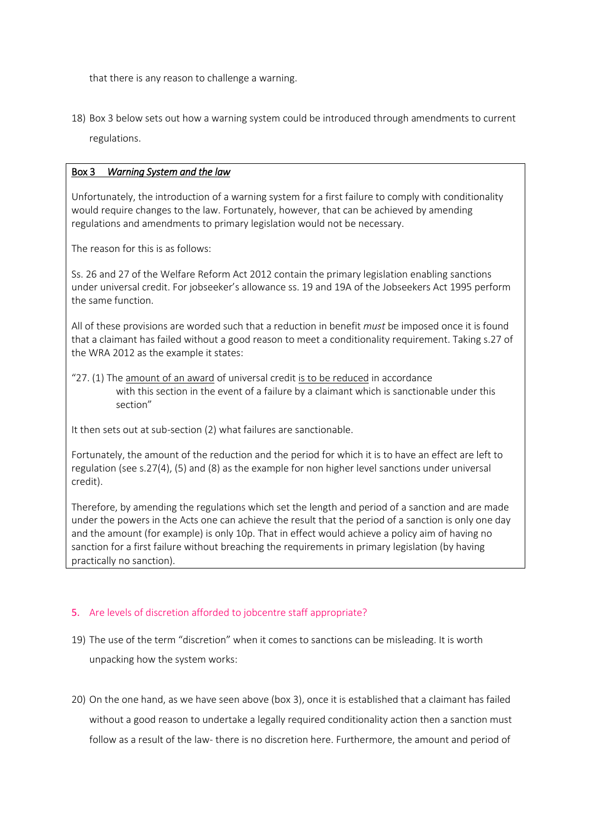that there is any reason to challenge a warning.

18) Box 3 below sets out how a warning system could be introduced through amendments to current regulations.

## Box 3 *Warning System and the law*

Unfortunately, the introduction of a warning system for a first failure to comply with conditionality would require changes to the law. Fortunately, however, that can be achieved by amending regulations and amendments to primary legislation would not be necessary.

The reason for this is as follows:

Ss. 26 and 27 of the Welfare Reform Act 2012 contain the primary legislation enabling sanctions under universal credit. For jobseeker's allowance ss. 19 and 19A of the Jobseekers Act 1995 perform the same function.

All of these provisions are worded such that a reduction in benefit *must* be imposed once it is found that a claimant has failed without a good reason to meet a conditionality requirement. Taking s.27 of the WRA 2012 as the example it states:

"27. (1) The amount of an award of universal credit is to be reduced in accordance with this section in the event of a failure by a claimant which is sanctionable under this section"

It then sets out at sub-section (2) what failures are sanctionable.

Fortunately, the amount of the reduction and the period for which it is to have an effect are left to regulation (see s.27(4), (5) and (8) as the example for non higher level sanctions under universal credit).

Therefore, by amending the regulations which set the length and period of a sanction and are made under the powers in the Acts one can achieve the result that the period of a sanction is only one day and the amount (for example) is only 10p. That in effect would achieve a policy aim of having no sanction for a first failure without breaching the requirements in primary legislation (by having practically no sanction).

# 5. Are levels of discretion afforded to jobcentre staff appropriate?

- 19) The use of the term "discretion" when it comes to sanctions can be misleading. It is worth unpacking how the system works:
- 20) On the one hand, as we have seen above (box 3), once it is established that a claimant has failed without a good reason to undertake a legally required conditionality action then a sanction must follow as a result of the law- there is no discretion here. Furthermore, the amount and period of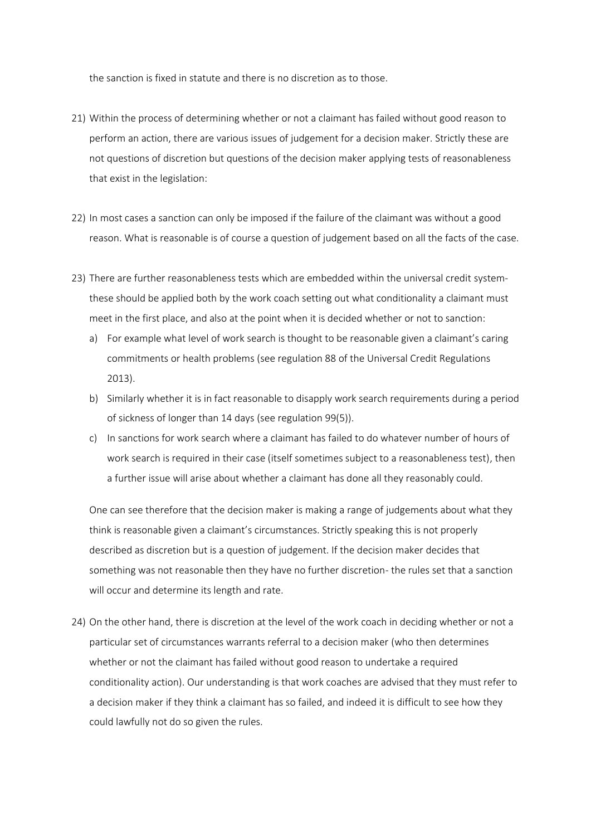the sanction is fixed in statute and there is no discretion as to those.

- 21) Within the process of determining whether or not a claimant has failed without good reason to perform an action, there are various issues of judgement for a decision maker. Strictly these are not questions of discretion but questions of the decision maker applying tests of reasonableness that exist in the legislation:
- 22) In most cases a sanction can only be imposed if the failure of the claimant was without a good reason. What is reasonable is of course a question of judgement based on all the facts of the case.
- 23) There are further reasonableness tests which are embedded within the universal credit systemthese should be applied both by the work coach setting out what conditionality a claimant must meet in the first place, and also at the point when it is decided whether or not to sanction:
	- a) For example what level of work search is thought to be reasonable given a claimant's caring commitments or health problems (see regulation 88 of the Universal Credit Regulations 2013).
	- b) Similarly whether it is in fact reasonable to disapply work search requirements during a period of sickness of longer than 14 days (see regulation 99(5)).
	- c) In sanctions for work search where a claimant has failed to do whatever number of hours of work search is required in their case (itself sometimes subject to a reasonableness test), then a further issue will arise about whether a claimant has done all they reasonably could.

One can see therefore that the decision maker is making a range of judgements about what they think is reasonable given a claimant's circumstances. Strictly speaking this is not properly described as discretion but is a question of judgement. If the decision maker decides that something was not reasonable then they have no further discretion- the rules set that a sanction will occur and determine its length and rate.

24) On the other hand, there is discretion at the level of the work coach in deciding whether or not a particular set of circumstances warrants referral to a decision maker (who then determines whether or not the claimant has failed without good reason to undertake a required conditionality action). Our understanding is that work coaches are advised that they must refer to a decision maker if they think a claimant has so failed, and indeed it is difficult to see how they could lawfully not do so given the rules.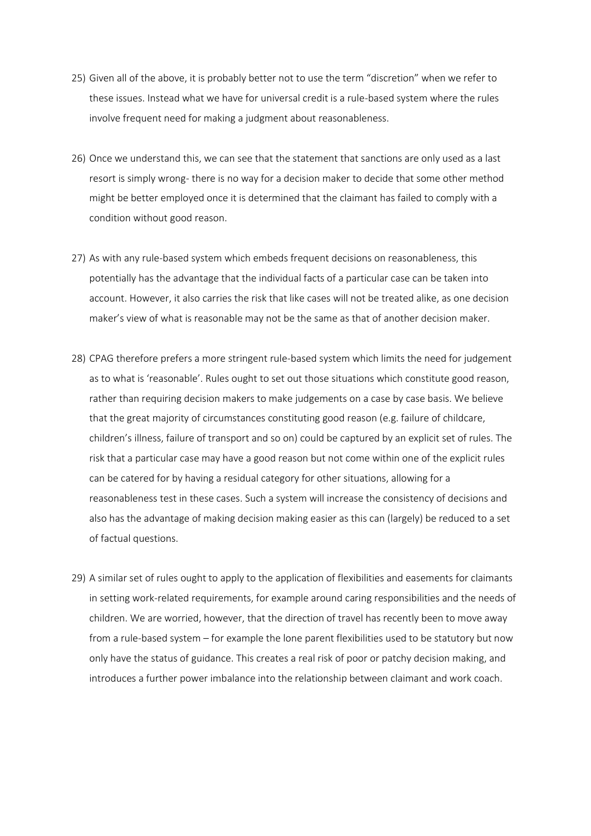- 25) Given all of the above, it is probably better not to use the term "discretion" when we refer to these issues. Instead what we have for universal credit is a rule-based system where the rules involve frequent need for making a judgment about reasonableness.
- 26) Once we understand this, we can see that the statement that sanctions are only used as a last resort is simply wrong- there is no way for a decision maker to decide that some other method might be better employed once it is determined that the claimant has failed to comply with a condition without good reason.
- 27) As with any rule-based system which embeds frequent decisions on reasonableness, this potentially has the advantage that the individual facts of a particular case can be taken into account. However, it also carries the risk that like cases will not be treated alike, as one decision maker's view of what is reasonable may not be the same as that of another decision maker.
- 28) CPAG therefore prefers a more stringent rule-based system which limits the need for judgement as to what is 'reasonable'. Rules ought to set out those situations which constitute good reason, rather than requiring decision makers to make judgements on a case by case basis. We believe that the great majority of circumstances constituting good reason (e.g. failure of childcare, children's illness, failure of transport and so on) could be captured by an explicit set of rules. The risk that a particular case may have a good reason but not come within one of the explicit rules can be catered for by having a residual category for other situations, allowing for a reasonableness test in these cases. Such a system will increase the consistency of decisions and also has the advantage of making decision making easier as this can (largely) be reduced to a set of factual questions.
- 29) A similar set of rules ought to apply to the application of flexibilities and easements for claimants in setting work-related requirements, for example around caring responsibilities and the needs of children. We are worried, however, that the direction of travel has recently been to move away from a rule-based system – for example the lone parent flexibilities used to be statutory but now only have the status of guidance. This creates a real risk of poor or patchy decision making, and introduces a further power imbalance into the relationship between claimant and work coach.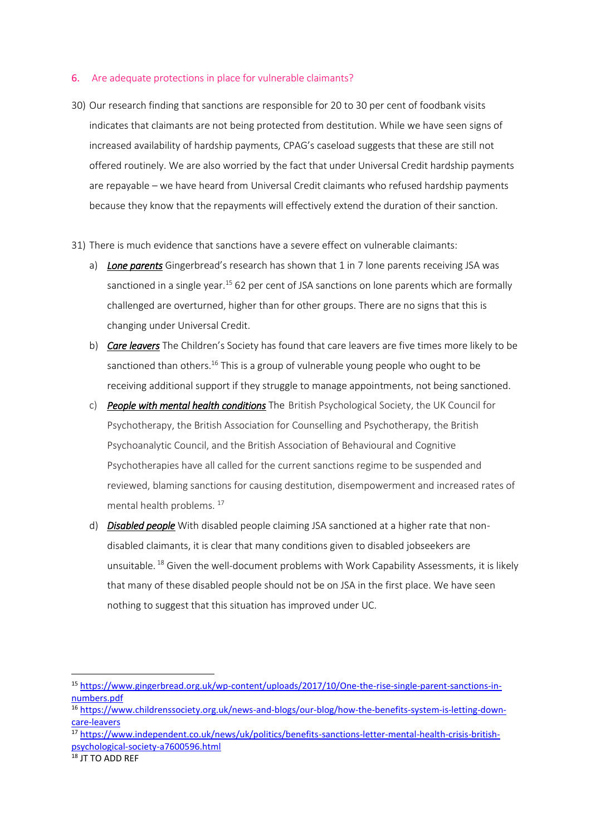#### 6. Are adequate protections in place for vulnerable claimants?

- 30) Our research finding that sanctions are responsible for 20 to 30 per cent of foodbank visits indicates that claimants are not being protected from destitution. While we have seen signs of increased availability of hardship payments, CPAG's caseload suggests that these are still not offered routinely. We are also worried by the fact that under Universal Credit hardship payments are repayable – we have heard from Universal Credit claimants who refused hardship payments because they know that the repayments will effectively extend the duration of their sanction.
- 31) There is much evidence that sanctions have a severe effect on vulnerable claimants:
	- a) *Lone parents* Gingerbread's research has shown that 1 in 7 lone parents receiving JSA was sanctioned in a single year.<sup>15</sup> 62 per cent of JSA sanctions on lone parents which are formally challenged are overturned, higher than for other groups. There are no signs that this is changing under Universal Credit.
	- b) *Care leavers* The Children's Society has found that care leavers are five times more likely to be sanctioned than others.<sup>16</sup> This is a group of vulnerable young people who ought to be receiving additional support if they struggle to manage appointments, not being sanctioned.
	- c) *People with mental health conditions* The British Psychological Society, the UK Council for Psychotherapy, the British Association for Counselling and Psychotherapy, the British Psychoanalytic Council, and the British Association of Behavioural and Cognitive Psychotherapies have all called for the current sanctions regime to be suspended and reviewed, blaming sanctions for causing destitution, disempowerment and increased rates of mental health problems.<sup>17</sup>
	- d) *Disabled people* With disabled people claiming JSA sanctioned at a higher rate that nondisabled claimants, it is clear that many conditions given to disabled jobseekers are unsuitable.  $^{18}$  Given the well-document problems with Work Capability Assessments, it is likely that many of these disabled people should not be on JSA in the first place. We have seen nothing to suggest that this situation has improved under UC.

 $\overline{a}$ 

<sup>15</sup> [https://www.gingerbread.org.uk/wp-content/uploads/2017/10/One-the-rise-single-parent-sanctions-in](https://www.gingerbread.org.uk/wp-content/uploads/2017/10/One-the-rise-single-parent-sanctions-in-numbers.pdf)[numbers.pdf](https://www.gingerbread.org.uk/wp-content/uploads/2017/10/One-the-rise-single-parent-sanctions-in-numbers.pdf)

<sup>16</sup> [https://www.childrenssociety.org.uk/news-and-blogs/our-blog/how-the-benefits-system-is-letting-down](https://www.childrenssociety.org.uk/news-and-blogs/our-blog/how-the-benefits-system-is-letting-down-care-leavers)[care-leavers](https://www.childrenssociety.org.uk/news-and-blogs/our-blog/how-the-benefits-system-is-letting-down-care-leavers)

<sup>17</sup> [https://www.independent.co.uk/news/uk/politics/benefits-sanctions-letter-mental-health-crisis-british](https://www.independent.co.uk/news/uk/politics/benefits-sanctions-letter-mental-health-crisis-british-psychological-society-a7600596.html)[psychological-society-a7600596.html](https://www.independent.co.uk/news/uk/politics/benefits-sanctions-letter-mental-health-crisis-british-psychological-society-a7600596.html)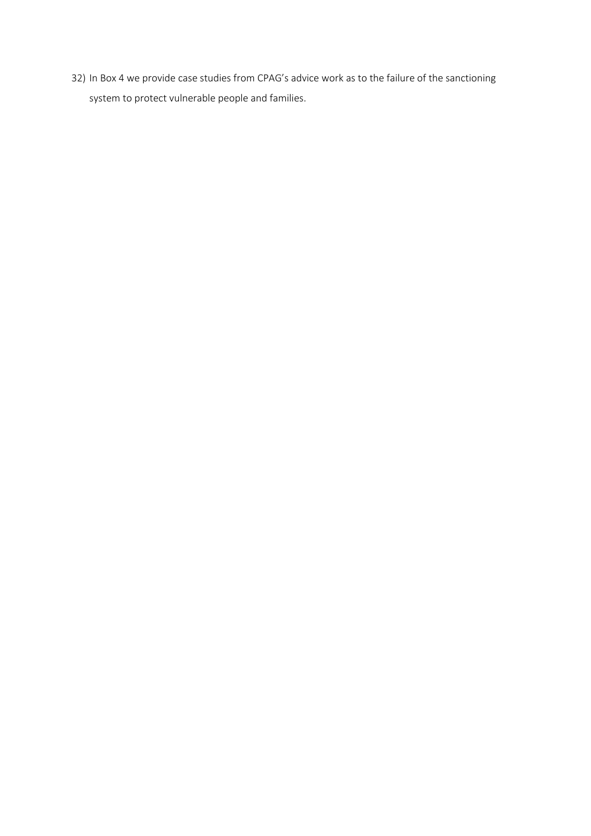32) In Box 4 we provide case studies from CPAG's advice work as to the failure of the sanctioning system to protect vulnerable people and families.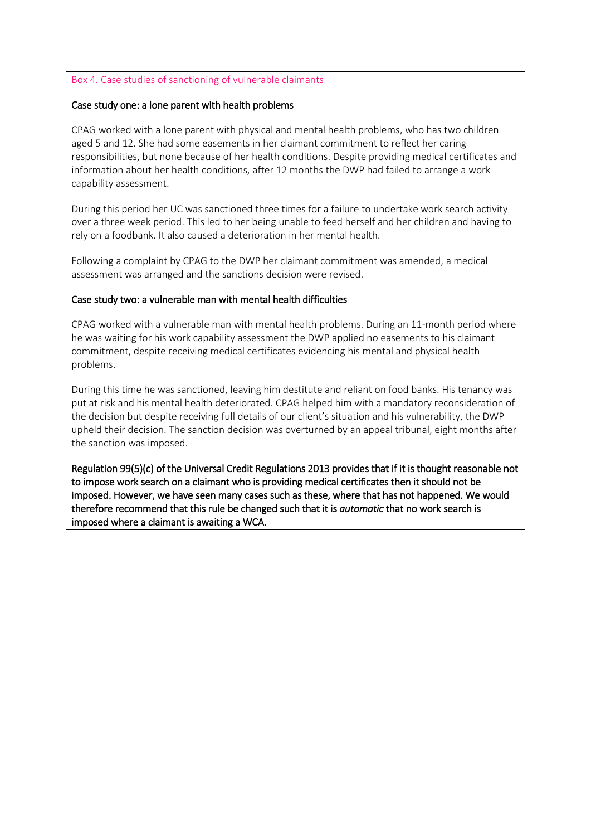### Box 4. Case studies of sanctioning of vulnerable claimants

## Case study one: a lone parent with health problems

CPAG worked with a lone parent with physical and mental health problems, who has two children aged 5 and 12. She had some easements in her claimant commitment to reflect her caring responsibilities, but none because of her health conditions. Despite providing medical certificates and information about her health conditions, after 12 months the DWP had failed to arrange a work capability assessment.

During this period her UC was sanctioned three times for a failure to undertake work search activity over a three week period. This led to her being unable to feed herself and her children and having to rely on a foodbank. It also caused a deterioration in her mental health.

Following a complaint by CPAG to the DWP her claimant commitment was amended, a medical assessment was arranged and the sanctions decision were revised.

#### Case study two: a vulnerable man with mental health difficulties

CPAG worked with a vulnerable man with mental health problems. During an 11-month period where he was waiting for his work capability assessment the DWP applied no easements to his claimant commitment, despite receiving medical certificates evidencing his mental and physical health problems.

During this time he was sanctioned, leaving him destitute and reliant on food banks. His tenancy was put at risk and his mental health deteriorated. CPAG helped him with a mandatory reconsideration of the decision but despite receiving full details of our client's situation and his vulnerability, the DWP upheld their decision. The sanction decision was overturned by an appeal tribunal, eight months after the sanction was imposed.

Regulation 99(5)(c) of the Universal Credit Regulations 2013 provides that if it is thought reasonable not to impose work search on a claimant who is providing medical certificates then it should not be imposed. However, we have seen many cases such as these, where that has not happened. We would therefore recommend that this rule be changed such that it is *automatic* that no work search is imposed where a claimant is awaiting a WCA.